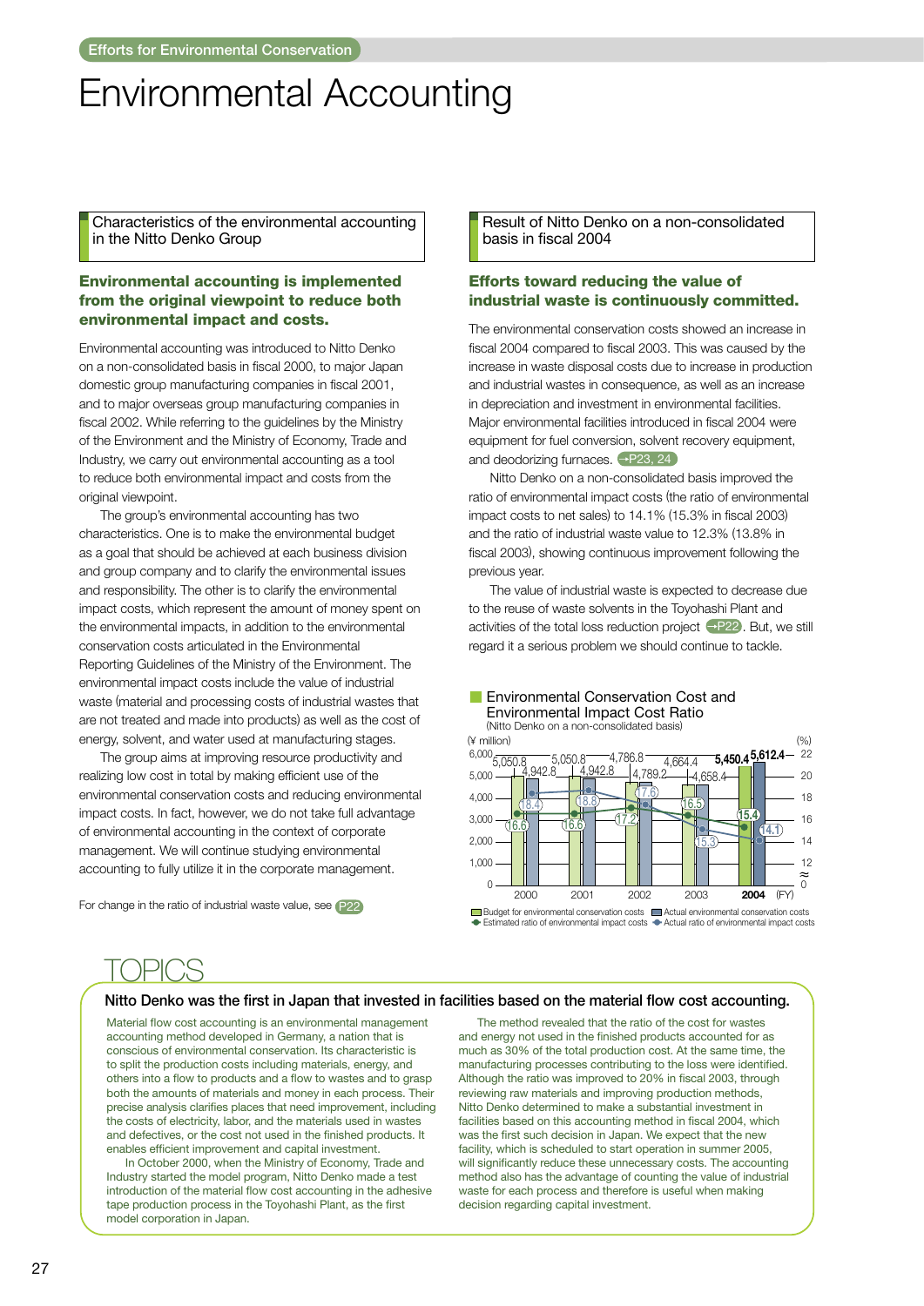# **Environmental Accounting**

Characteristics of the environmental accounting in the Nitto Denko Group

## **Environmental accounting is implemented** from the original viewpoint to reduce both environmental impact and costs.

Environmental accounting was introduced to Nitto Denko on a non-consolidated basis in fiscal 2000, to major Japan domestic group manufacturing companies in fiscal 2001, and to major overseas group manufacturing companies in fiscal 2002. While referring to the guidelines by the Ministry of the Environment and the Ministry of Economy. Trade and Industry, we carry out environmental accounting as a tool to reduce both environmental impact and costs from the original viewpoint.

The group's environmental accounting has two characteristics. One is to make the environmental budget as a goal that should be achieved at each business division and group company and to clarify the environmental issues and responsibility. The other is to clarify the environmental impact costs, which represent the amount of money spent on the environmental impacts, in addition to the environmental conservation costs articulated in the Environmental Reporting Guidelines of the Ministry of the Environment. The environmental impact costs include the value of industrial waste (material and processing costs of industrial wastes that are not treated and made into products) as well as the cost of energy, solvent, and water used at manufacturing stages.

The group aims at improving resource productivity and realizing low cost in total by making efficient use of the environmental conservation costs and reducing environmental impact costs. In fact, however, we do not take full advantage of environmental accounting in the context of corporate management. We will continue studying environmental accounting to fully utilize it in the corporate management.

For change in the ratio of industrial waste value, see P22

Result of Nitto Denko on a non-consolidated basis in fiscal 2004

# **Efforts toward reducing the value of** industrial waste is continuously committed.

The environmental conservation costs showed an increase in fiscal 2004 compared to fiscal 2003. This was caused by the increase in waste disposal costs due to increase in production and industrial wastes in consequence, as well as an increase in depreciation and investment in environmental facilities. Major environmental facilities introduced in fiscal 2004 were equipment for fuel conversion, solvent recovery equipment, and deodorizing furnaces. - P23, 24

Nitto Denko on a non-consolidated basis improved the ratio of environmental impact costs (the ratio of environmental impact costs to net sales) to 14.1% (15.3% in fiscal 2003) and the ratio of industrial waste value to 12.3% (13.8% in fiscal 2003), showing continuous improvement following the previous year.

The value of industrial waste is expected to decrease due to the reuse of waste solvents in the Toyohashi Plant and activities of the total loss reduction project  $\rightarrow$ P22. But, we still regard it a serious problem we should continue to tackle.

Environmental Conservation Cost and



#### Nitto Denko was the first in Japan that invested in facilities based on the material flow cost accounting.

Material flow cost accounting is an environmental management accounting method developed in Germany, a nation that is conscious of environmental conservation. Its characteristic is to split the production costs including materials, energy, and others into a flow to products and a flow to wastes and to grasp both the amounts of materials and money in each process. Their precise analysis clarifies places that need improvement, including the costs of electricity, labor, and the materials used in wastes and defectives, or the cost not used in the finished products. It enables efficient improvement and capital investment.

In October 2000, when the Ministry of Economy, Trade and Industry started the model program, Nitto Denko made a test introduction of the material flow cost accounting in the adhesive tape production process in the Toyohashi Plant, as the first model corporation in Japan.

The method revealed that the ratio of the cost for wastes and energy not used in the finished products accounted for as much as 30% of the total production cost. At the same time, the manufacturing processes contributing to the loss were identified. Although the ratio was improved to 20% in fiscal 2003, through reviewing raw materials and improving production methods, Nitto Denko determined to make a substantial investment in facilities based on this accounting method in fiscal 2004, which was the first such decision in Japan. We expect that the new facility, which is scheduled to start operation in summer 2005, will significantly reduce these unnecessary costs. The accounting method also has the advantage of counting the value of industrial waste for each process and therefore is useful when making decision regarding capital investment.